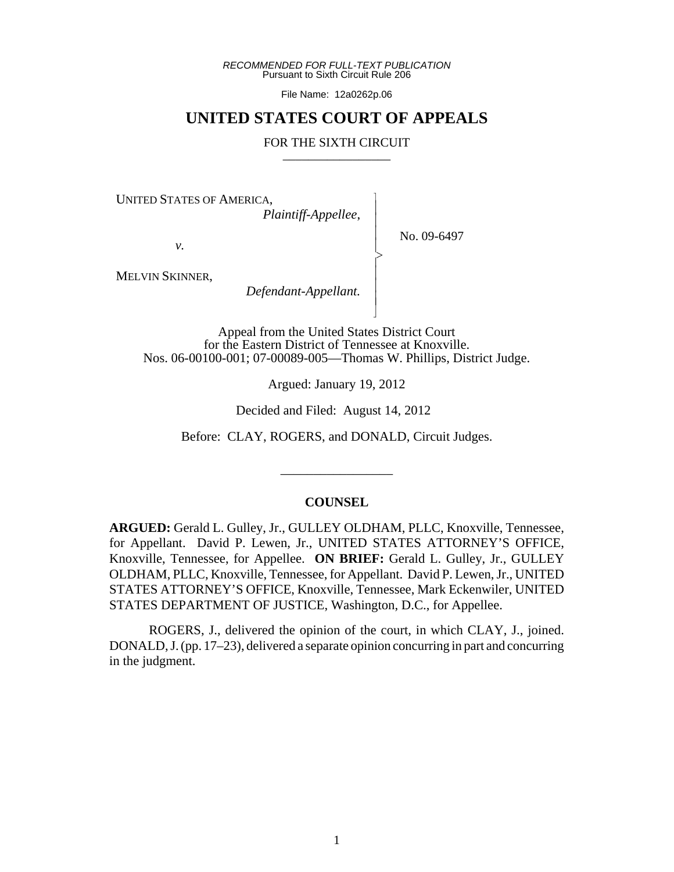*RECOMMENDED FOR FULL-TEXT PUBLICATION* Pursuant to Sixth Circuit Rule 206

File Name: 12a0262p.06

## **UNITED STATES COURT OF APPEALS**

#### FOR THE SIXTH CIRCUIT

 $\overline{\phantom{a}}$ - - - > , - - - N

UNITED STATES OF AMERICA,

 *Plaintiff-Appellee*,

No. 09-6497

*v.*

MELVIN SKINNER,

 *Defendant-Appellant.*

Appeal from the United States District Court for the Eastern District of Tennessee at Knoxville. Nos. 06-00100-001; 07-00089-005—Thomas W. Phillips, District Judge.

Argued: January 19, 2012

Decided and Filed: August 14, 2012

Before: CLAY, ROGERS, and DONALD, Circuit Judges.

## **COUNSEL**

\_\_\_\_\_\_\_\_\_\_\_\_\_\_\_\_\_

**ARGUED:** Gerald L. Gulley, Jr., GULLEY OLDHAM, PLLC, Knoxville, Tennessee, for Appellant. David P. Lewen, Jr., UNITED STATES ATTORNEY'S OFFICE, Knoxville, Tennessee, for Appellee. **ON BRIEF:** Gerald L. Gulley, Jr., GULLEY OLDHAM, PLLC, Knoxville, Tennessee, for Appellant. David P. Lewen, Jr., UNITED STATES ATTORNEY'S OFFICE, Knoxville, Tennessee, Mark Eckenwiler, UNITED STATES DEPARTMENT OF JUSTICE, Washington, D.C., for Appellee.

ROGERS, J., delivered the opinion of the court, in which CLAY, J., joined. DONALD, J. (pp. 17–23), delivered a separate opinion concurring in part and concurring in the judgment.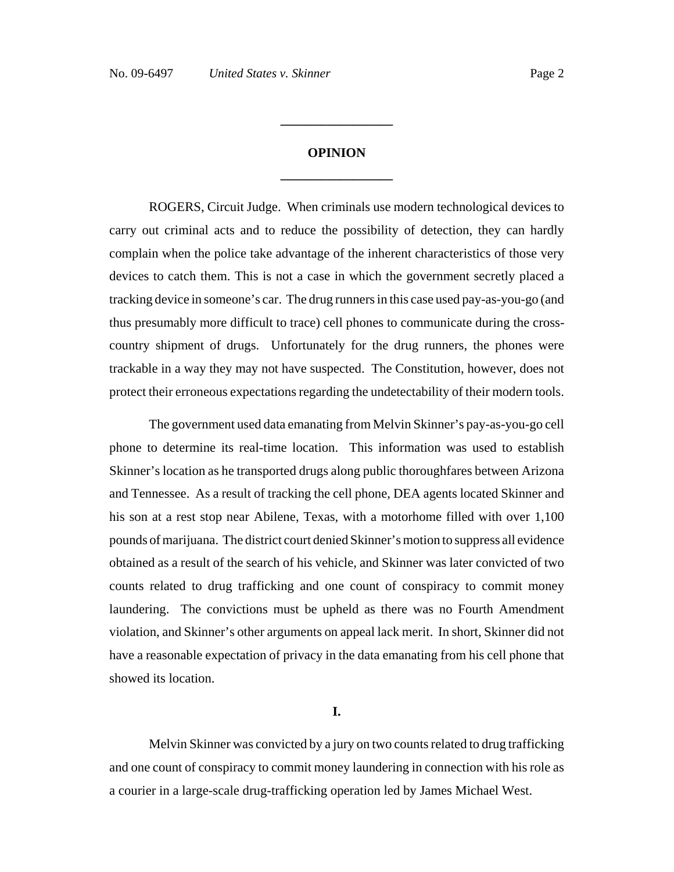# **OPINION \_\_\_\_\_\_\_\_\_\_\_\_\_\_\_\_\_**

**\_\_\_\_\_\_\_\_\_\_\_\_\_\_\_\_\_**

ROGERS, Circuit Judge. When criminals use modern technological devices to carry out criminal acts and to reduce the possibility of detection, they can hardly complain when the police take advantage of the inherent characteristics of those very devices to catch them. This is not a case in which the government secretly placed a tracking device in someone's car. The drug runners in this case used pay-as-you-go (and thus presumably more difficult to trace) cell phones to communicate during the crosscountry shipment of drugs. Unfortunately for the drug runners, the phones were trackable in a way they may not have suspected. The Constitution, however, does not protect their erroneous expectations regarding the undetectability of their modern tools.

The government used data emanating from Melvin Skinner's pay-as-you-go cell phone to determine its real-time location. This information was used to establish Skinner's location as he transported drugs along public thoroughfares between Arizona and Tennessee. As a result of tracking the cell phone, DEA agents located Skinner and his son at a rest stop near Abilene, Texas, with a motorhome filled with over 1,100 pounds of marijuana. The district court denied Skinner's motion to suppress all evidence obtained as a result of the search of his vehicle, and Skinner was later convicted of two counts related to drug trafficking and one count of conspiracy to commit money laundering. The convictions must be upheld as there was no Fourth Amendment violation, and Skinner's other arguments on appeal lack merit. In short, Skinner did not have a reasonable expectation of privacy in the data emanating from his cell phone that showed its location.

#### **I.**

Melvin Skinner was convicted by a jury on two counts related to drug trafficking and one count of conspiracy to commit money laundering in connection with his role as a courier in a large-scale drug-trafficking operation led by James Michael West.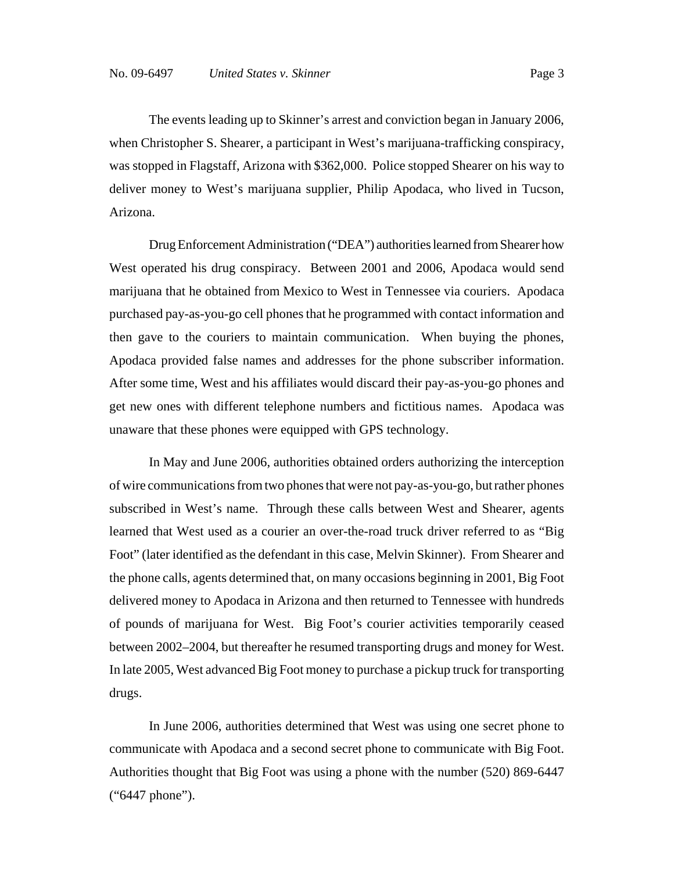The events leading up to Skinner's arrest and conviction began in January 2006, when Christopher S. Shearer, a participant in West's marijuana-trafficking conspiracy, was stopped in Flagstaff, Arizona with \$362,000. Police stopped Shearer on his way to deliver money to West's marijuana supplier, Philip Apodaca, who lived in Tucson, Arizona.

Drug Enforcement Administration ("DEA") authorities learned from Shearer how West operated his drug conspiracy. Between 2001 and 2006, Apodaca would send marijuana that he obtained from Mexico to West in Tennessee via couriers. Apodaca purchased pay-as-you-go cell phones that he programmed with contact information and then gave to the couriers to maintain communication. When buying the phones, Apodaca provided false names and addresses for the phone subscriber information. After some time, West and his affiliates would discard their pay-as-you-go phones and get new ones with different telephone numbers and fictitious names. Apodaca was unaware that these phones were equipped with GPS technology.

In May and June 2006, authorities obtained orders authorizing the interception of wire communications from two phones that were not pay-as-you-go, but rather phones subscribed in West's name. Through these calls between West and Shearer, agents learned that West used as a courier an over-the-road truck driver referred to as "Big Foot" (later identified as the defendant in this case, Melvin Skinner). From Shearer and the phone calls, agents determined that, on many occasions beginning in 2001, Big Foot delivered money to Apodaca in Arizona and then returned to Tennessee with hundreds of pounds of marijuana for West. Big Foot's courier activities temporarily ceased between 2002–2004, but thereafter he resumed transporting drugs and money for West. In late 2005, West advanced Big Foot money to purchase a pickup truck for transporting drugs.

In June 2006, authorities determined that West was using one secret phone to communicate with Apodaca and a second secret phone to communicate with Big Foot. Authorities thought that Big Foot was using a phone with the number (520) 869-6447 ("6447 phone").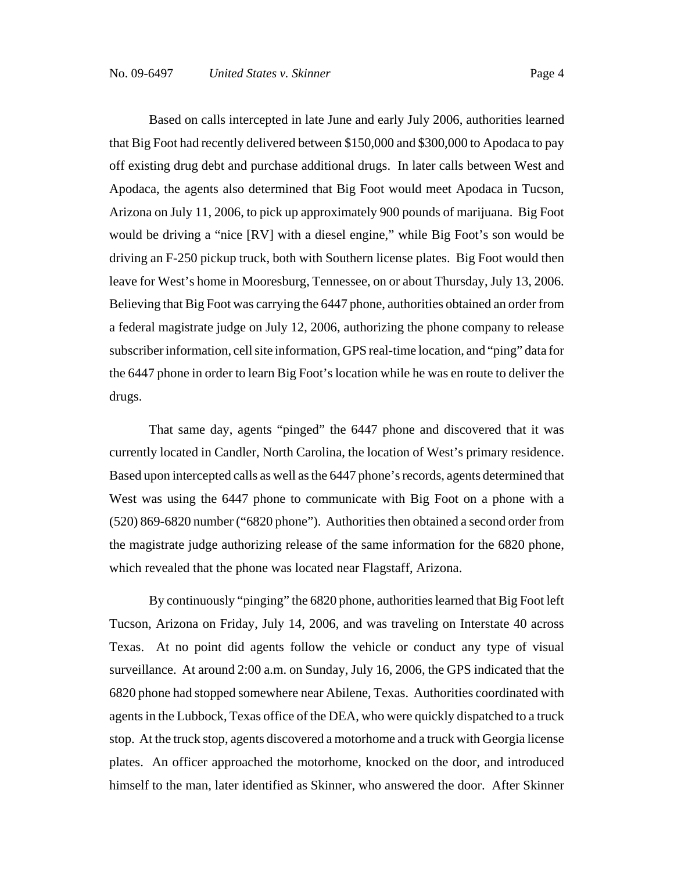Based on calls intercepted in late June and early July 2006, authorities learned that Big Foot had recently delivered between \$150,000 and \$300,000 to Apodaca to pay off existing drug debt and purchase additional drugs. In later calls between West and Apodaca, the agents also determined that Big Foot would meet Apodaca in Tucson, Arizona on July 11, 2006, to pick up approximately 900 pounds of marijuana. Big Foot would be driving a "nice [RV] with a diesel engine," while Big Foot's son would be driving an F-250 pickup truck, both with Southern license plates. Big Foot would then leave for West's home in Mooresburg, Tennessee, on or about Thursday, July 13, 2006. Believing that Big Foot was carrying the 6447 phone, authorities obtained an order from a federal magistrate judge on July 12, 2006, authorizing the phone company to release subscriber information, cell site information, GPS real-time location, and "ping" data for the 6447 phone in order to learn Big Foot's location while he was en route to deliver the drugs.

That same day, agents "pinged" the 6447 phone and discovered that it was currently located in Candler, North Carolina, the location of West's primary residence. Based upon intercepted calls as well as the 6447 phone's records, agents determined that West was using the 6447 phone to communicate with Big Foot on a phone with a (520) 869-6820 number ("6820 phone"). Authorities then obtained a second order from the magistrate judge authorizing release of the same information for the 6820 phone, which revealed that the phone was located near Flagstaff, Arizona.

By continuously "pinging" the 6820 phone, authorities learned that Big Foot left Tucson, Arizona on Friday, July 14, 2006, and was traveling on Interstate 40 across Texas. At no point did agents follow the vehicle or conduct any type of visual surveillance. At around 2:00 a.m. on Sunday, July 16, 2006, the GPS indicated that the 6820 phone had stopped somewhere near Abilene, Texas. Authorities coordinated with agents in the Lubbock, Texas office of the DEA, who were quickly dispatched to a truck stop. At the truck stop, agents discovered a motorhome and a truck with Georgia license plates. An officer approached the motorhome, knocked on the door, and introduced himself to the man, later identified as Skinner, who answered the door. After Skinner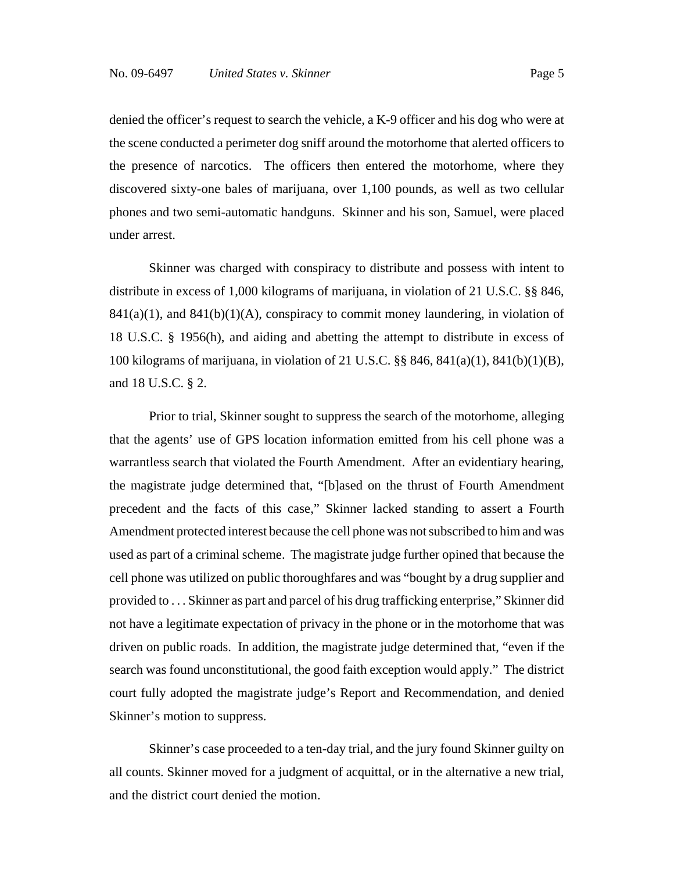denied the officer's request to search the vehicle, a K-9 officer and his dog who were at the scene conducted a perimeter dog sniff around the motorhome that alerted officers to the presence of narcotics. The officers then entered the motorhome, where they discovered sixty-one bales of marijuana, over 1,100 pounds, as well as two cellular phones and two semi-automatic handguns. Skinner and his son, Samuel, were placed under arrest.

Skinner was charged with conspiracy to distribute and possess with intent to distribute in excess of 1,000 kilograms of marijuana, in violation of 21 U.S.C. §§ 846,  $841(a)(1)$ , and  $841(b)(1)(A)$ , conspiracy to commit money laundering, in violation of 18 U.S.C. § 1956(h), and aiding and abetting the attempt to distribute in excess of 100 kilograms of marijuana, in violation of 21 U.S.C. §§ 846, 841(a)(1), 841(b)(1)(B), and 18 U.S.C. § 2.

Prior to trial, Skinner sought to suppress the search of the motorhome, alleging that the agents' use of GPS location information emitted from his cell phone was a warrantless search that violated the Fourth Amendment. After an evidentiary hearing, the magistrate judge determined that, "[b]ased on the thrust of Fourth Amendment precedent and the facts of this case," Skinner lacked standing to assert a Fourth Amendment protected interest because the cell phone was not subscribed to him and was used as part of a criminal scheme. The magistrate judge further opined that because the cell phone was utilized on public thoroughfares and was "bought by a drug supplier and provided to . . . Skinner as part and parcel of his drug trafficking enterprise," Skinner did not have a legitimate expectation of privacy in the phone or in the motorhome that was driven on public roads. In addition, the magistrate judge determined that, "even if the search was found unconstitutional, the good faith exception would apply." The district court fully adopted the magistrate judge's Report and Recommendation, and denied Skinner's motion to suppress.

Skinner's case proceeded to a ten-day trial, and the jury found Skinner guilty on all counts. Skinner moved for a judgment of acquittal, or in the alternative a new trial, and the district court denied the motion.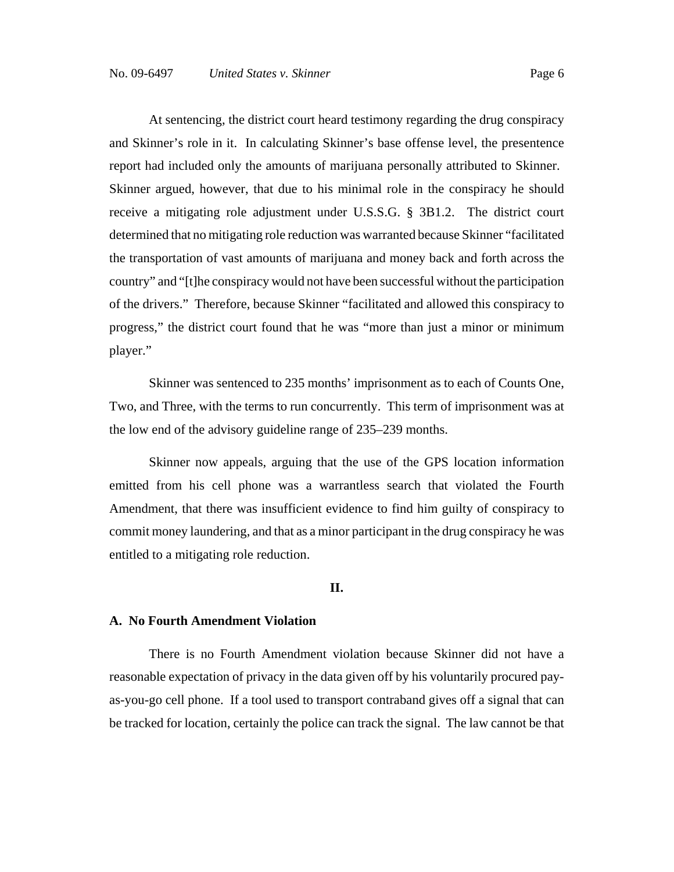At sentencing, the district court heard testimony regarding the drug conspiracy and Skinner's role in it. In calculating Skinner's base offense level, the presentence report had included only the amounts of marijuana personally attributed to Skinner. Skinner argued, however, that due to his minimal role in the conspiracy he should receive a mitigating role adjustment under U.S.S.G. § 3B1.2. The district court determined that no mitigating role reduction was warranted because Skinner "facilitated the transportation of vast amounts of marijuana and money back and forth across the country" and "[t]he conspiracy would not have been successful without the participation of the drivers." Therefore, because Skinner "facilitated and allowed this conspiracy to progress," the district court found that he was "more than just a minor or minimum player."

Skinner was sentenced to 235 months' imprisonment as to each of Counts One, Two, and Three, with the terms to run concurrently. This term of imprisonment was at the low end of the advisory guideline range of 235–239 months.

Skinner now appeals, arguing that the use of the GPS location information emitted from his cell phone was a warrantless search that violated the Fourth Amendment, that there was insufficient evidence to find him guilty of conspiracy to commit money laundering, and that as a minor participant in the drug conspiracy he was entitled to a mitigating role reduction.

### **II.**

#### **A. No Fourth Amendment Violation**

There is no Fourth Amendment violation because Skinner did not have a reasonable expectation of privacy in the data given off by his voluntarily procured payas-you-go cell phone. If a tool used to transport contraband gives off a signal that can be tracked for location, certainly the police can track the signal. The law cannot be that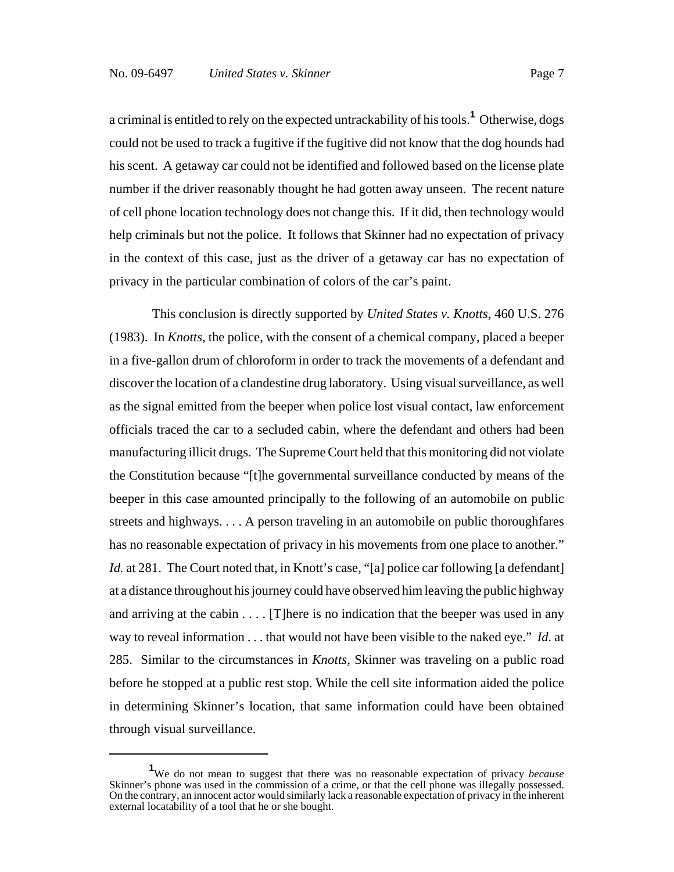a criminal is entitled to rely on the expected untrackability of his tools.**<sup>1</sup>** Otherwise, dogs could not be used to track a fugitive if the fugitive did not know that the dog hounds had his scent. A getaway car could not be identified and followed based on the license plate number if the driver reasonably thought he had gotten away unseen. The recent nature of cell phone location technology does not change this. If it did, then technology would help criminals but not the police. It follows that Skinner had no expectation of privacy in the context of this case, just as the driver of a getaway car has no expectation of privacy in the particular combination of colors of the car's paint.

 This conclusion is directly supported by *United States v. Knotts*, 460 U.S. 276 (1983). In *Knotts*, the police, with the consent of a chemical company, placed a beeper in a five-gallon drum of chloroform in order to track the movements of a defendant and discover the location of a clandestine drug laboratory. Using visual surveillance, as well as the signal emitted from the beeper when police lost visual contact, law enforcement officials traced the car to a secluded cabin, where the defendant and others had been manufacturing illicit drugs. The Supreme Court held that this monitoring did not violate the Constitution because "[t]he governmental surveillance conducted by means of the beeper in this case amounted principally to the following of an automobile on public streets and highways. . . . A person traveling in an automobile on public thoroughfares has no reasonable expectation of privacy in his movements from one place to another." *Id.* at 281. The Court noted that, in Knott's case, "[a] police car following [a defendant] at a distance throughout his journey could have observed him leaving the public highway and arriving at the cabin . . . . [T]here is no indication that the beeper was used in any way to reveal information . . . that would not have been visible to the naked eye." *Id.* at 285. Similar to the circumstances in *Knotts*, Skinner was traveling on a public road before he stopped at a public rest stop. While the cell site information aided the police in determining Skinner's location, that same information could have been obtained through visual surveillance.

**<sup>1</sup>** We do not mean to suggest that there was no reasonable expectation of privacy *because* Skinner's phone was used in the commission of a crime, or that the cell phone was illegally possessed. On the contrary, an innocent actor would similarly lack a reasonable expectation of privacy in the inherent external locatability of a tool that he or she bought.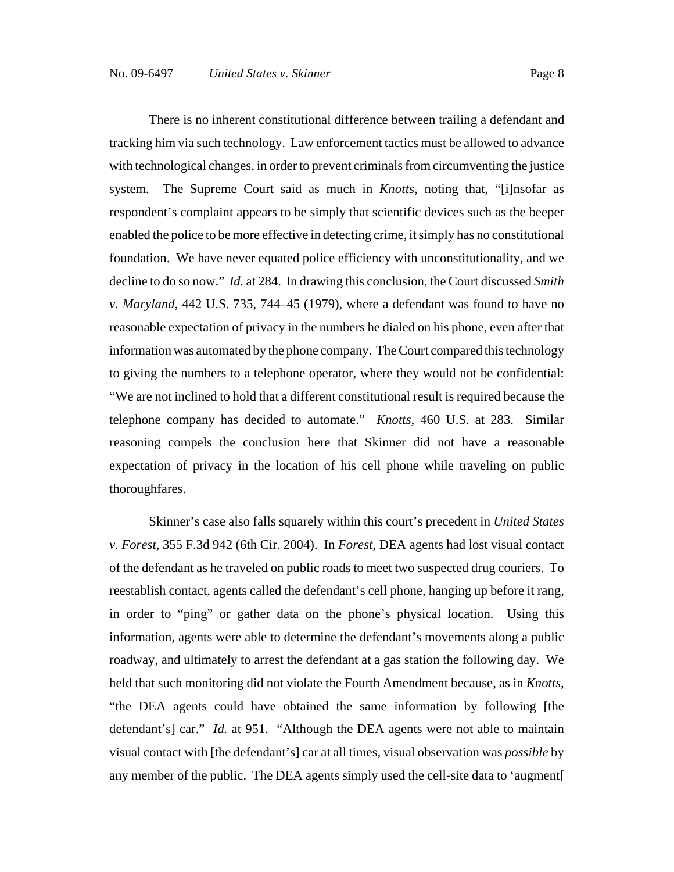There is no inherent constitutional difference between trailing a defendant and tracking him via such technology. Law enforcement tactics must be allowed to advance with technological changes, in order to prevent criminals from circumventing the justice system. The Supreme Court said as much in *Knotts*, noting that, "[i]nsofar as respondent's complaint appears to be simply that scientific devices such as the beeper enabled the police to be more effective in detecting crime, it simply has no constitutional foundation. We have never equated police efficiency with unconstitutionality, and we decline to do so now." *Id.* at 284. In drawing this conclusion, the Court discussed *Smith v. Maryland*, 442 U.S. 735, 744–45 (1979), where a defendant was found to have no reasonable expectation of privacy in the numbers he dialed on his phone, even after that information was automated by the phone company. The Court compared this technology to giving the numbers to a telephone operator, where they would not be confidential: "We are not inclined to hold that a different constitutional result is required because the telephone company has decided to automate." *Knotts*, 460 U.S. at 283. Similar reasoning compels the conclusion here that Skinner did not have a reasonable expectation of privacy in the location of his cell phone while traveling on public thoroughfares.

Skinner's case also falls squarely within this court's precedent in *United States v. Forest*, 355 F.3d 942 (6th Cir. 2004). In *Forest*, DEA agents had lost visual contact of the defendant as he traveled on public roads to meet two suspected drug couriers. To reestablish contact, agents called the defendant's cell phone, hanging up before it rang, in order to "ping" or gather data on the phone's physical location. Using this information, agents were able to determine the defendant's movements along a public roadway, and ultimately to arrest the defendant at a gas station the following day. We held that such monitoring did not violate the Fourth Amendment because, as in *Knotts*, "the DEA agents could have obtained the same information by following [the defendant's] car." *Id.* at 951. "Although the DEA agents were not able to maintain visual contact with [the defendant's] car at all times, visual observation was *possible* by any member of the public. The DEA agents simply used the cell-site data to 'augment[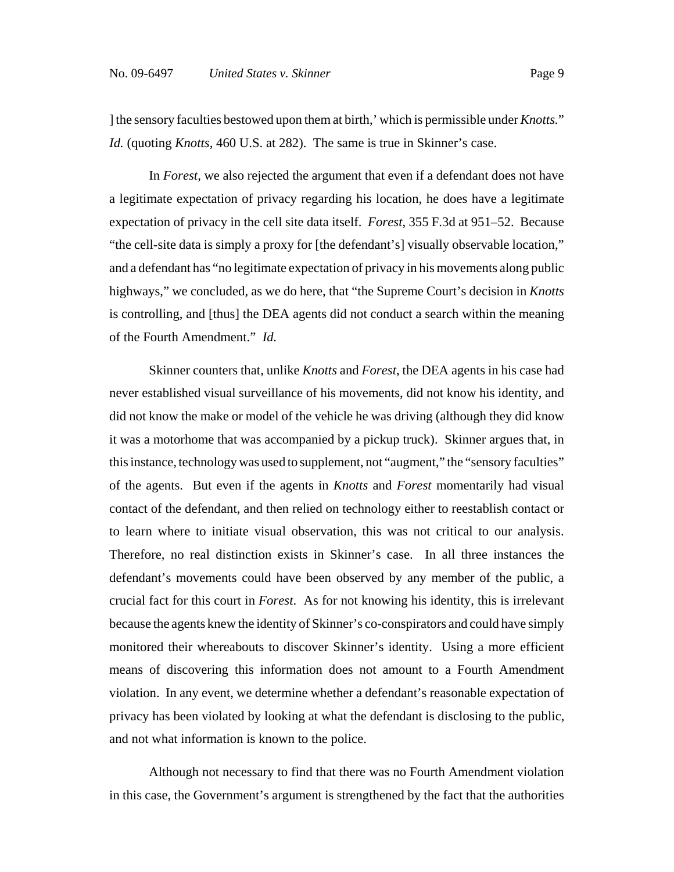] the sensory faculties bestowed upon them at birth,' which is permissible under *Knotts.*" *Id.* (quoting *Knotts*, 460 U.S. at 282). The same is true in Skinner's case.

In *Forest*, we also rejected the argument that even if a defendant does not have a legitimate expectation of privacy regarding his location, he does have a legitimate expectation of privacy in the cell site data itself. *Forest*, 355 F.3d at 951–52. Because "the cell-site data is simply a proxy for [the defendant's] visually observable location," and a defendant has "no legitimate expectation of privacy in his movements along public highways," we concluded, as we do here, that "the Supreme Court's decision in *Knotts* is controlling, and [thus] the DEA agents did not conduct a search within the meaning of the Fourth Amendment." *Id.*

Skinner counters that, unlike *Knotts* and *Forest*, the DEA agents in his case had never established visual surveillance of his movements, did not know his identity, and did not know the make or model of the vehicle he was driving (although they did know it was a motorhome that was accompanied by a pickup truck). Skinner argues that, in this instance, technology was used to supplement, not "augment," the "sensory faculties" of the agents. But even if the agents in *Knotts* and *Forest* momentarily had visual contact of the defendant, and then relied on technology either to reestablish contact or to learn where to initiate visual observation, this was not critical to our analysis. Therefore, no real distinction exists in Skinner's case. In all three instances the defendant's movements could have been observed by any member of the public, a crucial fact for this court in *Forest*. As for not knowing his identity, this is irrelevant because the agents knew the identity of Skinner's co-conspirators and could have simply monitored their whereabouts to discover Skinner's identity. Using a more efficient means of discovering this information does not amount to a Fourth Amendment violation. In any event, we determine whether a defendant's reasonable expectation of privacy has been violated by looking at what the defendant is disclosing to the public, and not what information is known to the police.

Although not necessary to find that there was no Fourth Amendment violation in this case, the Government's argument is strengthened by the fact that the authorities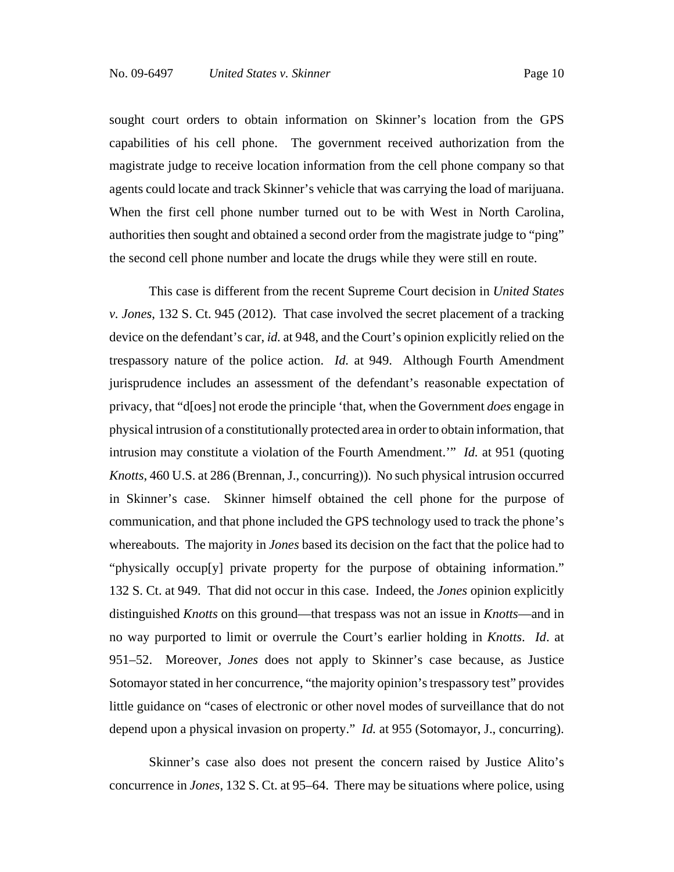sought court orders to obtain information on Skinner's location from the GPS capabilities of his cell phone. The government received authorization from the magistrate judge to receive location information from the cell phone company so that agents could locate and track Skinner's vehicle that was carrying the load of marijuana. When the first cell phone number turned out to be with West in North Carolina, authorities then sought and obtained a second order from the magistrate judge to "ping" the second cell phone number and locate the drugs while they were still en route.

This case is different from the recent Supreme Court decision in *United States v. Jones*, 132 S. Ct. 945 (2012). That case involved the secret placement of a tracking device on the defendant's car, *id.* at 948, and the Court's opinion explicitly relied on the trespassory nature of the police action. *Id.* at 949. Although Fourth Amendment jurisprudence includes an assessment of the defendant's reasonable expectation of privacy, that "d[oes] not erode the principle 'that, when the Government *does* engage in physical intrusion of a constitutionally protected area in order to obtain information, that intrusion may constitute a violation of the Fourth Amendment.'" *Id.* at 951 (quoting *Knotts*, 460 U.S. at 286 (Brennan, J., concurring)). No such physical intrusion occurred in Skinner's case. Skinner himself obtained the cell phone for the purpose of communication, and that phone included the GPS technology used to track the phone's whereabouts. The majority in *Jones* based its decision on the fact that the police had to "physically occup[y] private property for the purpose of obtaining information." 132 S. Ct. at 949. That did not occur in this case. Indeed, the *Jones* opinion explicitly distinguished *Knotts* on this ground—that trespass was not an issue in *Knotts*—and in no way purported to limit or overrule the Court's earlier holding in *Knotts*. *Id*. at 951–52. Moreover, *Jones* does not apply to Skinner's case because, as Justice Sotomayor stated in her concurrence, "the majority opinion's trespassory test" provides little guidance on "cases of electronic or other novel modes of surveillance that do not depend upon a physical invasion on property." *Id.* at 955 (Sotomayor, J., concurring).

Skinner's case also does not present the concern raised by Justice Alito's concurrence in *Jones*, 132 S. Ct. at 95–64. There may be situations where police, using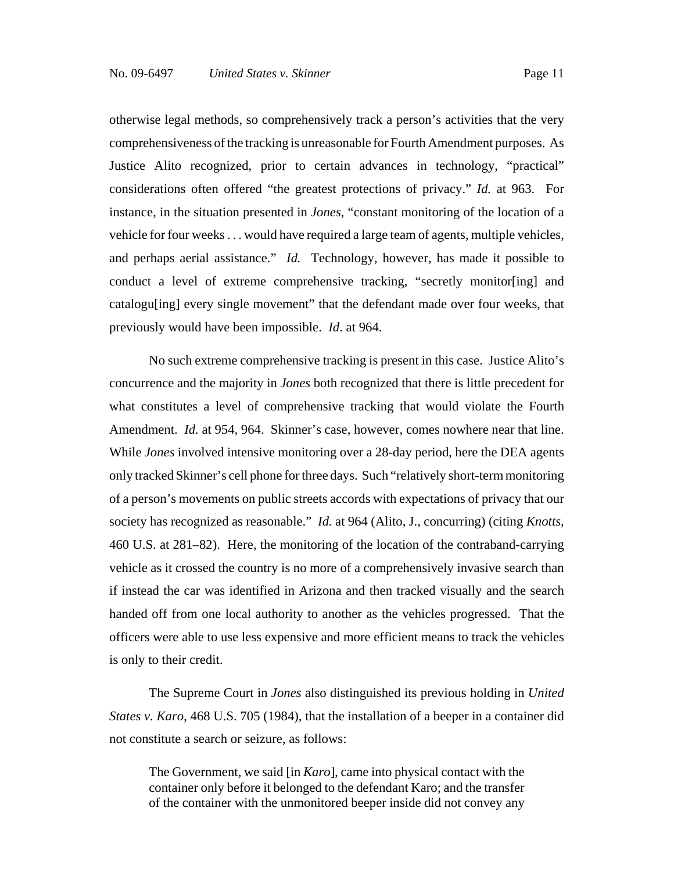otherwise legal methods, so comprehensively track a person's activities that the very comprehensiveness of the tracking is unreasonable for Fourth Amendment purposes. As Justice Alito recognized, prior to certain advances in technology, "practical" considerations often offered "the greatest protections of privacy." *Id.* at 963. For instance, in the situation presented in *Jones*, "constant monitoring of the location of a vehicle for four weeks . . . would have required a large team of agents, multiple vehicles, and perhaps aerial assistance." *Id.* Technology, however, has made it possible to conduct a level of extreme comprehensive tracking, "secretly monitor[ing] and catalogu[ing] every single movement" that the defendant made over four weeks, that previously would have been impossible. *Id*. at 964.

No such extreme comprehensive tracking is present in this case. Justice Alito's concurrence and the majority in *Jones* both recognized that there is little precedent for what constitutes a level of comprehensive tracking that would violate the Fourth Amendment. *Id.* at 954, 964. Skinner's case, however, comes nowhere near that line. While *Jones* involved intensive monitoring over a 28-day period, here the DEA agents only tracked Skinner's cell phone for three days. Such "relatively short-term monitoring of a person's movements on public streets accords with expectations of privacy that our society has recognized as reasonable." *Id.* at 964 (Alito, J., concurring) (citing *Knotts*, 460 U.S. at 281–82). Here, the monitoring of the location of the contraband-carrying vehicle as it crossed the country is no more of a comprehensively invasive search than if instead the car was identified in Arizona and then tracked visually and the search handed off from one local authority to another as the vehicles progressed. That the officers were able to use less expensive and more efficient means to track the vehicles is only to their credit.

The Supreme Court in *Jones* also distinguished its previous holding in *United States v. Karo*, 468 U.S. 705 (1984), that the installation of a beeper in a container did not constitute a search or seizure, as follows:

The Government, we said [in *Karo*], came into physical contact with the container only before it belonged to the defendant Karo; and the transfer of the container with the unmonitored beeper inside did not convey any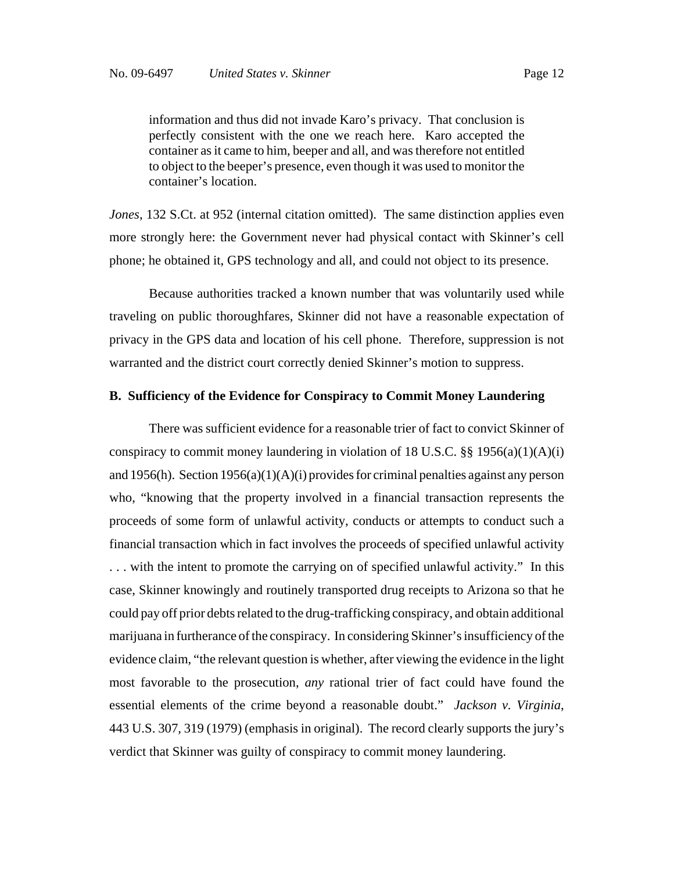information and thus did not invade Karo's privacy. That conclusion is perfectly consistent with the one we reach here. Karo accepted the container as it came to him, beeper and all, and was therefore not entitled to object to the beeper's presence, even though it was used to monitor the container's location.

*Jones*, 132 S.Ct. at 952 (internal citation omitted). The same distinction applies even more strongly here: the Government never had physical contact with Skinner's cell phone; he obtained it, GPS technology and all, and could not object to its presence.

Because authorities tracked a known number that was voluntarily used while traveling on public thoroughfares, Skinner did not have a reasonable expectation of privacy in the GPS data and location of his cell phone. Therefore, suppression is not warranted and the district court correctly denied Skinner's motion to suppress.

## **B. Sufficiency of the Evidence for Conspiracy to Commit Money Laundering**

There was sufficient evidence for a reasonable trier of fact to convict Skinner of conspiracy to commit money laundering in violation of 18 U.S.C.  $\S$ § 1956(a)(1)(A)(i) and 1956(h). Section 1956(a)(1)(A)(i) provides for criminal penalties against any person who, "knowing that the property involved in a financial transaction represents the proceeds of some form of unlawful activity, conducts or attempts to conduct such a financial transaction which in fact involves the proceeds of specified unlawful activity . . . with the intent to promote the carrying on of specified unlawful activity." In this case, Skinner knowingly and routinely transported drug receipts to Arizona so that he could pay off prior debts related to the drug-trafficking conspiracy, and obtain additional marijuana in furtherance of the conspiracy. In considering Skinner's insufficiency of the evidence claim, "the relevant question is whether, after viewing the evidence in the light most favorable to the prosecution, *any* rational trier of fact could have found the essential elements of the crime beyond a reasonable doubt." *Jackson v. Virginia*, 443 U.S. 307, 319 (1979) (emphasis in original). The record clearly supports the jury's verdict that Skinner was guilty of conspiracy to commit money laundering.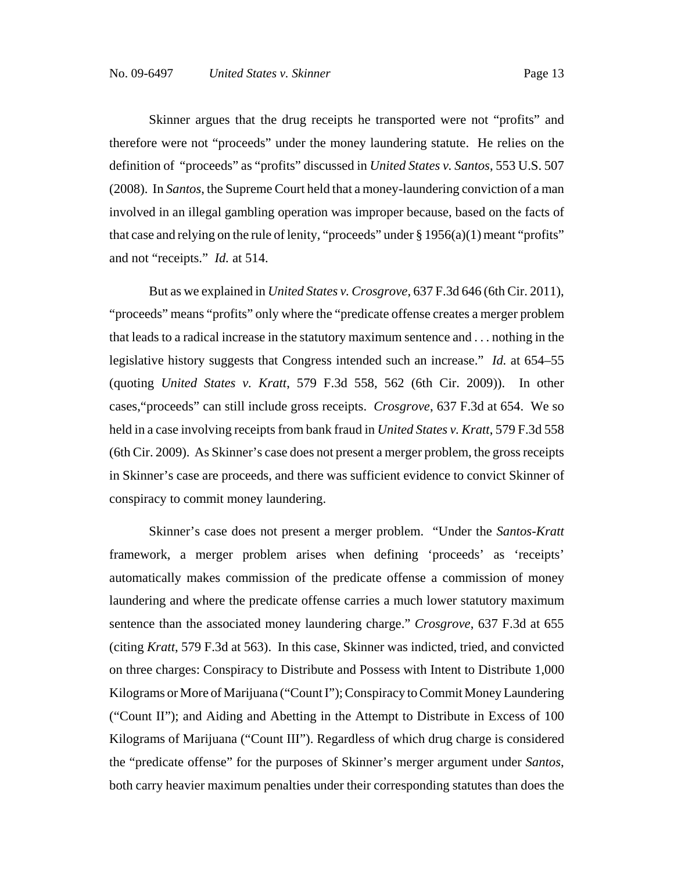Skinner argues that the drug receipts he transported were not "profits" and therefore were not "proceeds" under the money laundering statute. He relies on the definition of "proceeds" as "profits" discussed in *United States v. Santos*, 553 U.S. 507 (2008). In *Santos*, the Supreme Court held that a money-laundering conviction of a man involved in an illegal gambling operation was improper because, based on the facts of that case and relying on the rule of lenity, "proceeds" under § 1956(a)(1) meant "profits" and not "receipts." *Id.* at 514.

But as we explained in *United States v. Crosgrove*, 637 F.3d 646 (6th Cir. 2011), "proceeds" means "profits" only where the "predicate offense creates a merger problem that leads to a radical increase in the statutory maximum sentence and . . . nothing in the legislative history suggests that Congress intended such an increase." *Id.* at 654–55 (quoting *United States v. Kratt*, 579 F.3d 558, 562 (6th Cir. 2009)). In other cases,"proceeds" can still include gross receipts. *Crosgrove*, 637 F.3d at 654. We so held in a case involving receipts from bank fraud in *United States v. Kratt*, 579 F.3d 558 (6th Cir. 2009). As Skinner's case does not present a merger problem, the gross receipts in Skinner's case are proceeds, and there was sufficient evidence to convict Skinner of conspiracy to commit money laundering.

Skinner's case does not present a merger problem. "Under the *Santos-Kratt* framework, a merger problem arises when defining 'proceeds' as 'receipts' automatically makes commission of the predicate offense a commission of money laundering and where the predicate offense carries a much lower statutory maximum sentence than the associated money laundering charge." *Crosgrove*, 637 F.3d at 655 (citing *Kratt*, 579 F.3d at 563). In this case, Skinner was indicted, tried, and convicted on three charges: Conspiracy to Distribute and Possess with Intent to Distribute 1,000 Kilograms or More of Marijuana ("Count I"); Conspiracy to Commit Money Laundering ("Count II"); and Aiding and Abetting in the Attempt to Distribute in Excess of 100 Kilograms of Marijuana ("Count III"). Regardless of which drug charge is considered the "predicate offense" for the purposes of Skinner's merger argument under *Santos*, both carry heavier maximum penalties under their corresponding statutes than does the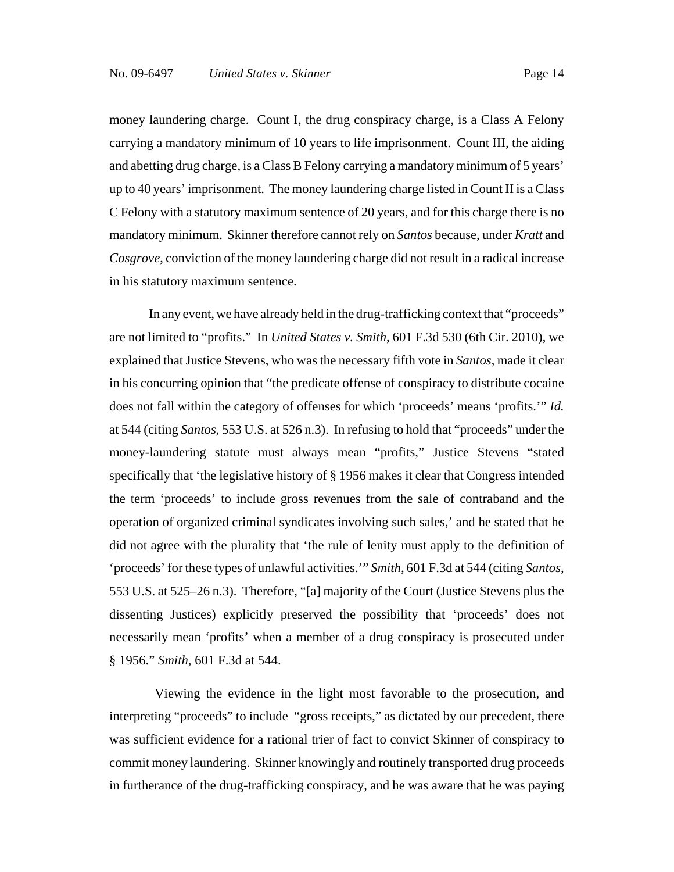money laundering charge. Count I, the drug conspiracy charge, is a Class A Felony carrying a mandatory minimum of 10 years to life imprisonment. Count III, the aiding and abetting drug charge, is a Class B Felony carrying a mandatory minimum of 5 years' up to 40 years' imprisonment. The money laundering charge listed in Count II is a Class C Felony with a statutory maximum sentence of 20 years, and for this charge there is no mandatory minimum. Skinner therefore cannot rely on *Santos* because, under *Kratt* and *Cosgrove*, conviction of the money laundering charge did not result in a radical increase in his statutory maximum sentence.

In any event, we have already held in the drug-trafficking context that "proceeds" are not limited to "profits." In *United States v. Smith*, 601 F.3d 530 (6th Cir. 2010), we explained that Justice Stevens, who was the necessary fifth vote in *Santos*, made it clear in his concurring opinion that "the predicate offense of conspiracy to distribute cocaine does not fall within the category of offenses for which 'proceeds' means 'profits.'" *Id.* at 544 (citing *Santos*, 553 U.S. at 526 n.3). In refusing to hold that "proceeds" under the money-laundering statute must always mean "profits," Justice Stevens "stated specifically that 'the legislative history of § 1956 makes it clear that Congress intended the term 'proceeds' to include gross revenues from the sale of contraband and the operation of organized criminal syndicates involving such sales,' and he stated that he did not agree with the plurality that 'the rule of lenity must apply to the definition of 'proceeds' for these types of unlawful activities.'" *Smith*, 601 F.3d at 544 (citing *Santos*, 553 U.S. at 525–26 n.3). Therefore, "[a] majority of the Court (Justice Stevens plus the dissenting Justices) explicitly preserved the possibility that 'proceeds' does not necessarily mean 'profits' when a member of a drug conspiracy is prosecuted under § 1956." *Smith*, 601 F.3d at 544.

 Viewing the evidence in the light most favorable to the prosecution, and interpreting "proceeds" to include "gross receipts," as dictated by our precedent, there was sufficient evidence for a rational trier of fact to convict Skinner of conspiracy to commit money laundering. Skinner knowingly and routinely transported drug proceeds in furtherance of the drug-trafficking conspiracy, and he was aware that he was paying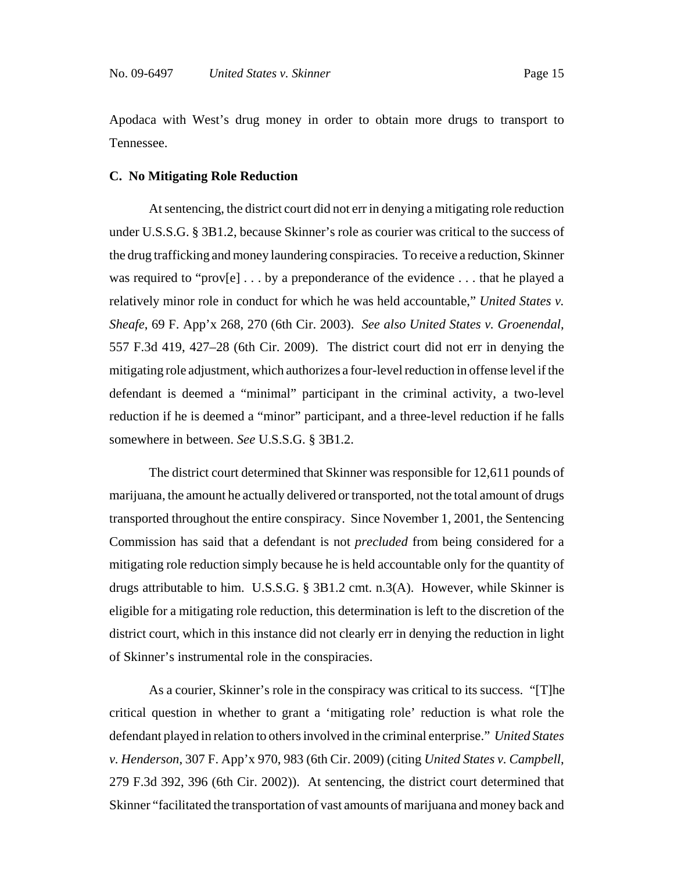Apodaca with West's drug money in order to obtain more drugs to transport to Tennessee.

## **C. No Mitigating Role Reduction**

At sentencing, the district court did not err in denying a mitigating role reduction under U.S.S.G. § 3B1.2, because Skinner's role as courier was critical to the success of the drug trafficking and money laundering conspiracies. To receive a reduction, Skinner was required to "prov[e] . . . by a preponderance of the evidence . . . that he played a relatively minor role in conduct for which he was held accountable," *United States v. Sheafe*, 69 F. App'x 268, 270 (6th Cir. 2003). *See also United States v. Groenendal*, 557 F.3d 419, 427–28 (6th Cir. 2009). The district court did not err in denying the mitigating role adjustment, which authorizes a four-level reduction in offense level if the defendant is deemed a "minimal" participant in the criminal activity, a two-level reduction if he is deemed a "minor" participant, and a three-level reduction if he falls somewhere in between. *See* U.S.S.G. § 3B1.2.

The district court determined that Skinner was responsible for 12,611 pounds of marijuana, the amount he actually delivered or transported, not the total amount of drugs transported throughout the entire conspiracy. Since November 1, 2001, the Sentencing Commission has said that a defendant is not *precluded* from being considered for a mitigating role reduction simply because he is held accountable only for the quantity of drugs attributable to him. U.S.S.G. § 3B1.2 cmt. n.3(A). However, while Skinner is eligible for a mitigating role reduction, this determination is left to the discretion of the district court, which in this instance did not clearly err in denying the reduction in light of Skinner's instrumental role in the conspiracies.

 As a courier, Skinner's role in the conspiracy was critical to its success. "[T]he critical question in whether to grant a 'mitigating role' reduction is what role the defendant played in relation to others involved in the criminal enterprise." *United States v. Henderson*, 307 F. App'x 970, 983 (6th Cir. 2009) (citing *United States v. Campbell*, 279 F.3d 392, 396 (6th Cir. 2002)). At sentencing, the district court determined that Skinner "facilitated the transportation of vast amounts of marijuana and money back and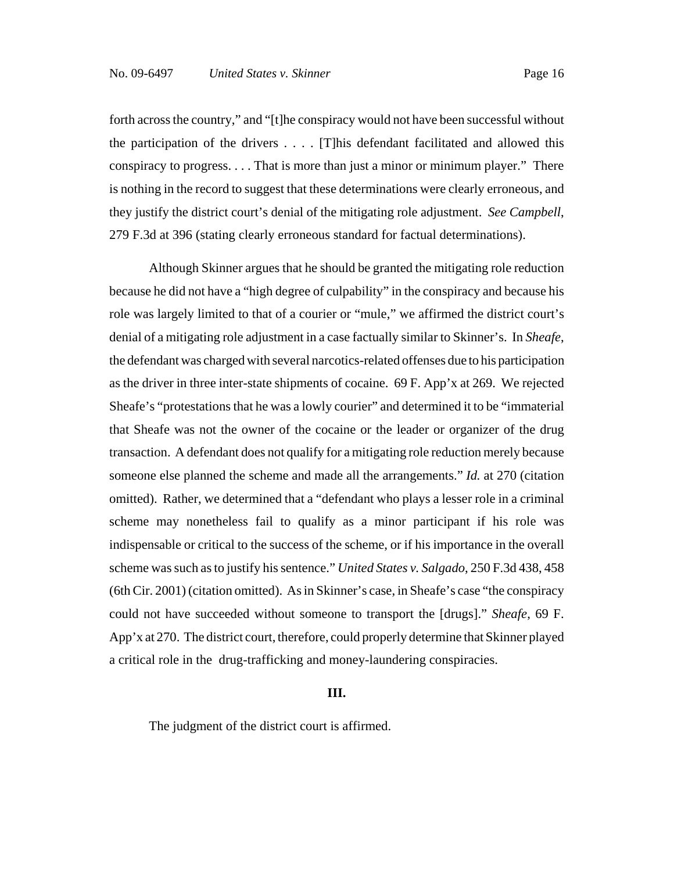forth across the country," and "[t]he conspiracy would not have been successful without the participation of the drivers  $\dots$ . [T]his defendant facilitated and allowed this conspiracy to progress. . . . That is more than just a minor or minimum player." There is nothing in the record to suggest that these determinations were clearly erroneous, and they justify the district court's denial of the mitigating role adjustment. *See Campbell*, 279 F.3d at 396 (stating clearly erroneous standard for factual determinations).

Although Skinner argues that he should be granted the mitigating role reduction because he did not have a "high degree of culpability" in the conspiracy and because his role was largely limited to that of a courier or "mule," we affirmed the district court's denial of a mitigating role adjustment in a case factually similar to Skinner's. In *Sheafe*, the defendant was charged with several narcotics-related offenses due to his participation as the driver in three inter-state shipments of cocaine. 69 F. App'x at 269. We rejected Sheafe's "protestations that he was a lowly courier" and determined it to be "immaterial that Sheafe was not the owner of the cocaine or the leader or organizer of the drug transaction. A defendant does not qualify for a mitigating role reduction merely because someone else planned the scheme and made all the arrangements." *Id.* at 270 (citation omitted). Rather, we determined that a "defendant who plays a lesser role in a criminal scheme may nonetheless fail to qualify as a minor participant if his role was indispensable or critical to the success of the scheme, or if his importance in the overall scheme was such as to justify his sentence." *United States v. Salgado*, 250 F.3d 438, 458 (6th Cir. 2001) (citation omitted). As in Skinner's case, in Sheafe's case "the conspiracy could not have succeeded without someone to transport the [drugs]." *Sheafe*, 69 F. App'x at 270. The district court, therefore, could properly determine that Skinner played a critical role in the drug-trafficking and money-laundering conspiracies.

## **III.**

The judgment of the district court is affirmed.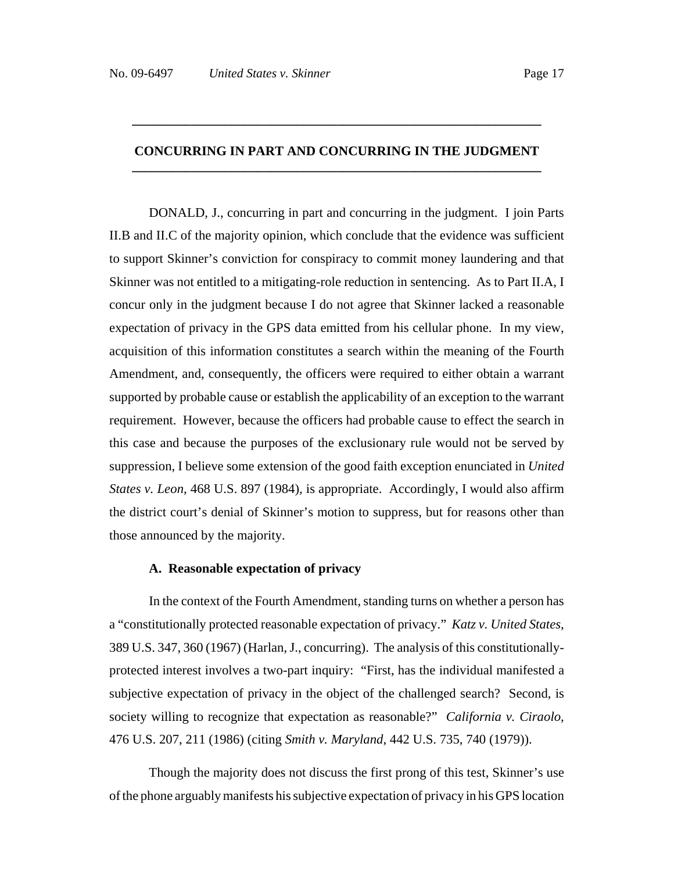## **CONCURRING IN PART AND CONCURRING IN THE JUDGMENT \_\_\_\_\_\_\_\_\_\_\_\_\_\_\_\_\_\_\_\_\_\_\_\_\_\_\_\_\_\_\_\_\_\_\_\_\_\_\_\_\_\_\_\_\_\_\_\_\_\_\_\_\_\_\_\_\_\_\_\_\_\_**

**\_\_\_\_\_\_\_\_\_\_\_\_\_\_\_\_\_\_\_\_\_\_\_\_\_\_\_\_\_\_\_\_\_\_\_\_\_\_\_\_\_\_\_\_\_\_\_\_\_\_\_\_\_\_\_\_\_\_\_\_\_\_**

DONALD, J., concurring in part and concurring in the judgment. I join Parts II.B and II.C of the majority opinion, which conclude that the evidence was sufficient to support Skinner's conviction for conspiracy to commit money laundering and that Skinner was not entitled to a mitigating-role reduction in sentencing. As to Part II.A, I concur only in the judgment because I do not agree that Skinner lacked a reasonable expectation of privacy in the GPS data emitted from his cellular phone. In my view, acquisition of this information constitutes a search within the meaning of the Fourth Amendment, and, consequently, the officers were required to either obtain a warrant supported by probable cause or establish the applicability of an exception to the warrant requirement. However, because the officers had probable cause to effect the search in this case and because the purposes of the exclusionary rule would not be served by suppression, I believe some extension of the good faith exception enunciated in *United States v. Leon*, 468 U.S. 897 (1984)*,* is appropriate. Accordingly, I would also affirm the district court's denial of Skinner's motion to suppress, but for reasons other than those announced by the majority.

#### **A. Reasonable expectation of privacy**

In the context of the Fourth Amendment, standing turns on whether a person has a "constitutionally protected reasonable expectation of privacy." *Katz v. United States*, 389 U.S. 347, 360 (1967) (Harlan, J., concurring). The analysis of this constitutionallyprotected interest involves a two-part inquiry: "First, has the individual manifested a subjective expectation of privacy in the object of the challenged search? Second, is society willing to recognize that expectation as reasonable?" *California v. Ciraolo*, 476 U.S. 207, 211 (1986) (citing *Smith v. Maryland*, 442 U.S. 735, 740 (1979)).

Though the majority does not discuss the first prong of this test, Skinner's use of the phone arguably manifests his subjective expectation of privacy in his GPS location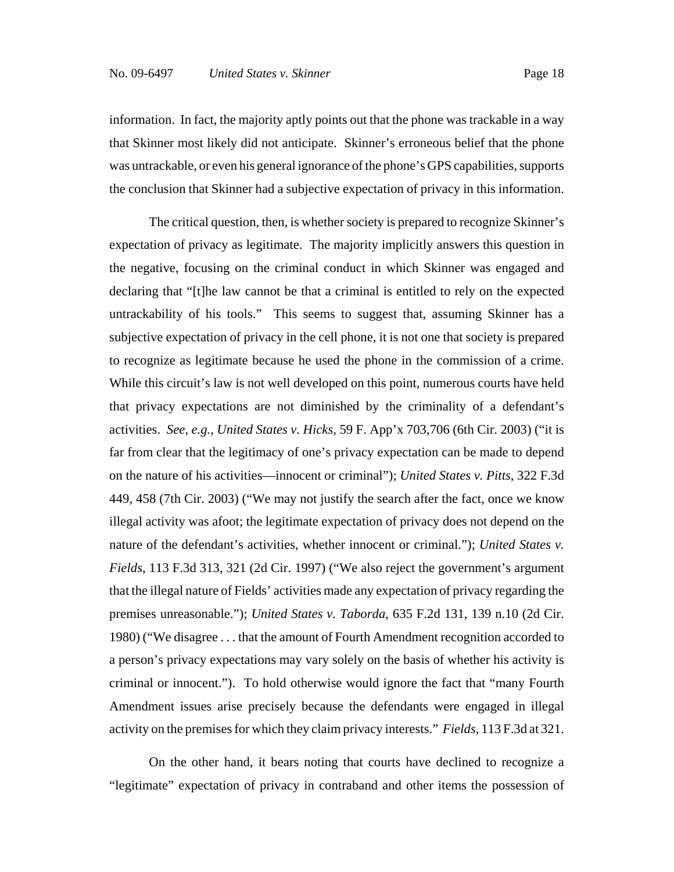information. In fact, the majority aptly points out that the phone was trackable in a way that Skinner most likely did not anticipate. Skinner's erroneous belief that the phone was untrackable, or even his general ignorance of the phone's GPS capabilities, supports the conclusion that Skinner had a subjective expectation of privacy in this information.

The critical question, then, is whether society is prepared to recognize Skinner's expectation of privacy as legitimate. The majority implicitly answers this question in the negative, focusing on the criminal conduct in which Skinner was engaged and declaring that "[t]he law cannot be that a criminal is entitled to rely on the expected untrackability of his tools." This seems to suggest that, assuming Skinner has a subjective expectation of privacy in the cell phone, it is not one that society is prepared to recognize as legitimate because he used the phone in the commission of a crime. While this circuit's law is not well developed on this point, numerous courts have held that privacy expectations are not diminished by the criminality of a defendant's activities. *See, e.g.*, *United States v. Hicks*, 59 F. App'x 703,706 (6th Cir. 2003) ("it is far from clear that the legitimacy of one's privacy expectation can be made to depend on the nature of his activities—innocent or criminal"); *United States v. Pitts*, 322 F.3d 449, 458 (7th Cir. 2003) ("We may not justify the search after the fact, once we know illegal activity was afoot; the legitimate expectation of privacy does not depend on the nature of the defendant's activities, whether innocent or criminal."); *United States v. Fields*, 113 F.3d 313, 321 (2d Cir. 1997) ("We also reject the government's argument that the illegal nature of Fields' activities made any expectation of privacy regarding the premises unreasonable."); *United States v. Taborda*, 635 F.2d 131, 139 n.10 (2d Cir. 1980) ("We disagree . . . that the amount of Fourth Amendment recognition accorded to a person's privacy expectations may vary solely on the basis of whether his activity is criminal or innocent."). To hold otherwise would ignore the fact that "many Fourth Amendment issues arise precisely because the defendants were engaged in illegal activity on the premises for which they claim privacy interests." *Fields*, 113 F.3d at 321.

On the other hand, it bears noting that courts have declined to recognize a "legitimate" expectation of privacy in contraband and other items the possession of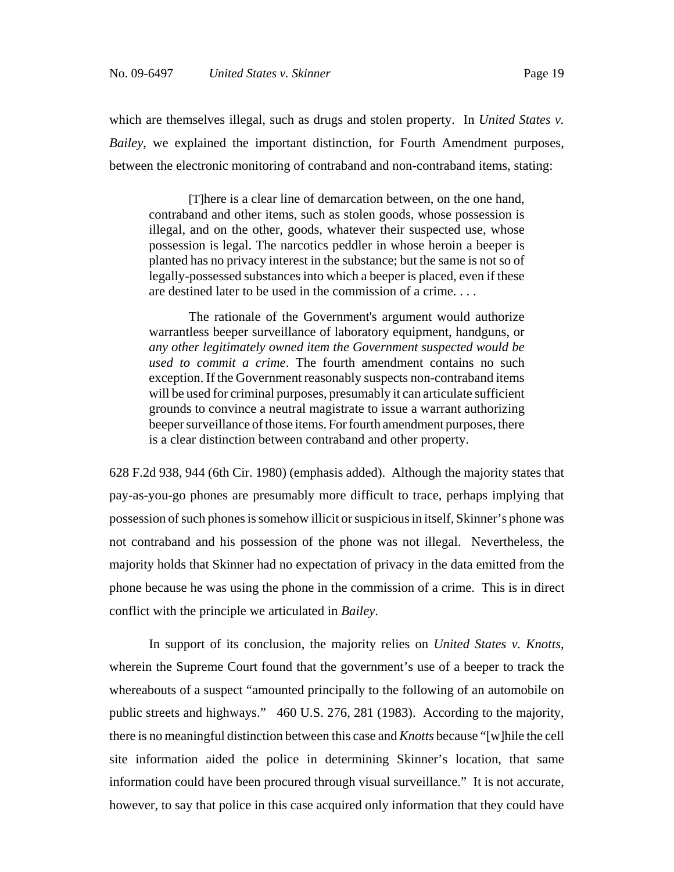which are themselves illegal, such as drugs and stolen property. In *United States v. Bailey*, we explained the important distinction, for Fourth Amendment purposes, between the electronic monitoring of contraband and non-contraband items, stating:

[T]here is a clear line of demarcation between, on the one hand, contraband and other items, such as stolen goods, whose possession is illegal, and on the other, goods, whatever their suspected use, whose possession is legal. The narcotics peddler in whose heroin a beeper is planted has no privacy interest in the substance; but the same is not so of legally-possessed substances into which a beeper is placed, even if these are destined later to be used in the commission of a crime. . . .

The rationale of the Government's argument would authorize warrantless beeper surveillance of laboratory equipment, handguns, or *any other legitimately owned item the Government suspected would be used to commit a crime*. The fourth amendment contains no such exception. If the Government reasonably suspects non-contraband items will be used for criminal purposes, presumably it can articulate sufficient grounds to convince a neutral magistrate to issue a warrant authorizing beeper surveillance of those items. For fourth amendment purposes, there is a clear distinction between contraband and other property.

628 F.2d 938, 944 (6th Cir. 1980) (emphasis added). Although the majority states that pay-as-you-go phones are presumably more difficult to trace, perhaps implying that possession of such phones is somehow illicit or suspicious in itself, Skinner's phone was not contraband and his possession of the phone was not illegal. Nevertheless, the majority holds that Skinner had no expectation of privacy in the data emitted from the phone because he was using the phone in the commission of a crime. This is in direct conflict with the principle we articulated in *Bailey*.

In support of its conclusion, the majority relies on *United States v. Knotts*, wherein the Supreme Court found that the government's use of a beeper to track the whereabouts of a suspect "amounted principally to the following of an automobile on public streets and highways." 460 U.S. 276, 281 (1983). According to the majority, there is no meaningful distinction between this case and *Knotts* because "[w]hile the cell site information aided the police in determining Skinner's location, that same information could have been procured through visual surveillance." It is not accurate, however, to say that police in this case acquired only information that they could have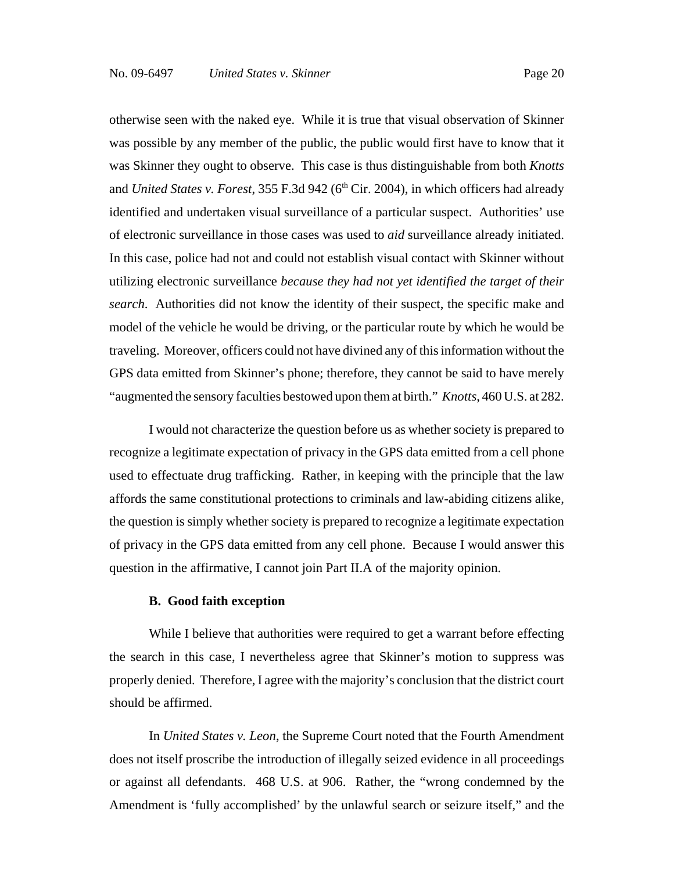otherwise seen with the naked eye. While it is true that visual observation of Skinner was possible by any member of the public, the public would first have to know that it was Skinner they ought to observe. This case is thus distinguishable from both *Knotts* and *United States v. Forest*, 355 F.3d 942 (6<sup>th</sup> Cir. 2004), in which officers had already identified and undertaken visual surveillance of a particular suspect. Authorities' use of electronic surveillance in those cases was used to *aid* surveillance already initiated. In this case, police had not and could not establish visual contact with Skinner without utilizing electronic surveillance *because they had not yet identified the target of their search*. Authorities did not know the identity of their suspect, the specific make and model of the vehicle he would be driving, or the particular route by which he would be traveling. Moreover, officers could not have divined any of this information without the GPS data emitted from Skinner's phone; therefore, they cannot be said to have merely "augmented the sensory faculties bestowed upon them at birth." *Knotts*, 460 U.S. at 282.

I would not characterize the question before us as whether society is prepared to recognize a legitimate expectation of privacy in the GPS data emitted from a cell phone used to effectuate drug trafficking. Rather, in keeping with the principle that the law affords the same constitutional protections to criminals and law-abiding citizens alike, the question is simply whether society is prepared to recognize a legitimate expectation of privacy in the GPS data emitted from any cell phone. Because I would answer this question in the affirmative, I cannot join Part II.A of the majority opinion.

#### **B. Good faith exception**

While I believe that authorities were required to get a warrant before effecting the search in this case, I nevertheless agree that Skinner's motion to suppress was properly denied. Therefore, I agree with the majority's conclusion that the district court should be affirmed.

In *United States v. Leon*, the Supreme Court noted that the Fourth Amendment does not itself proscribe the introduction of illegally seized evidence in all proceedings or against all defendants. 468 U.S. at 906. Rather, the "wrong condemned by the Amendment is 'fully accomplished' by the unlawful search or seizure itself," and the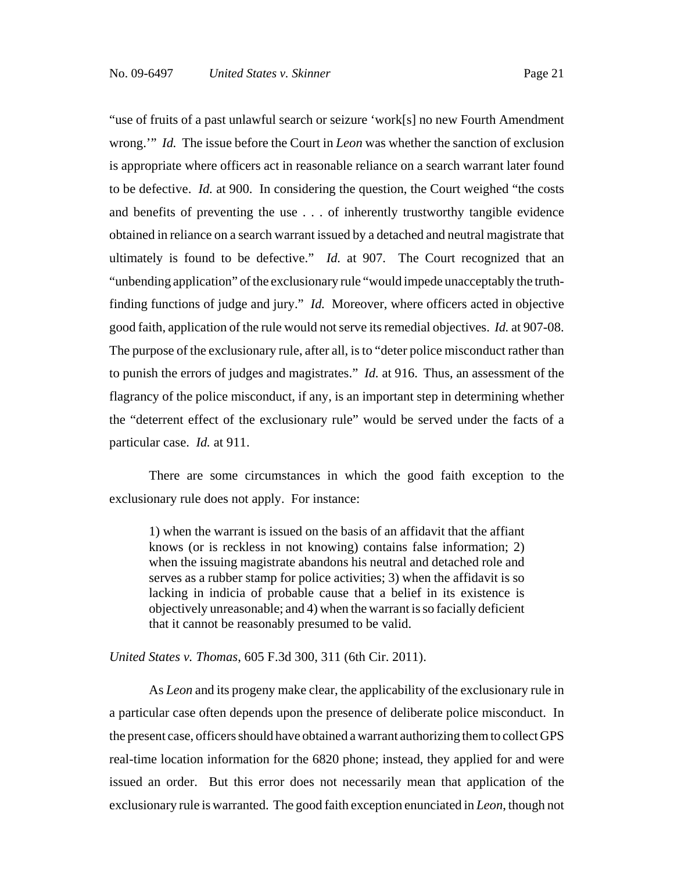"use of fruits of a past unlawful search or seizure 'work[s] no new Fourth Amendment wrong.'" *Id.* The issue before the Court in *Leon* was whether the sanction of exclusion is appropriate where officers act in reasonable reliance on a search warrant later found to be defective. *Id.* at 900. In considering the question, the Court weighed "the costs and benefits of preventing the use . . . of inherently trustworthy tangible evidence obtained in reliance on a search warrant issued by a detached and neutral magistrate that ultimately is found to be defective." *Id.* at 907. The Court recognized that an "unbending application" of the exclusionary rule "would impede unacceptably the truthfinding functions of judge and jury." *Id.* Moreover, where officers acted in objective good faith, application of the rule would not serve its remedial objectives. *Id.* at 907-08. The purpose of the exclusionary rule, after all, is to "deter police misconduct rather than to punish the errors of judges and magistrates." *Id.* at 916. Thus, an assessment of the flagrancy of the police misconduct, if any, is an important step in determining whether the "deterrent effect of the exclusionary rule" would be served under the facts of a particular case. *Id.* at 911.

There are some circumstances in which the good faith exception to the exclusionary rule does not apply. For instance:

1) when the warrant is issued on the basis of an affidavit that the affiant knows (or is reckless in not knowing) contains false information; 2) when the issuing magistrate abandons his neutral and detached role and serves as a rubber stamp for police activities; 3) when the affidavit is so lacking in indicia of probable cause that a belief in its existence is objectively unreasonable; and 4) when the warrant is so facially deficient that it cannot be reasonably presumed to be valid.

*United States v. Thomas*, 605 F.3d 300, 311 (6th Cir. 2011).

As *Leon* and its progeny make clear, the applicability of the exclusionary rule in a particular case often depends upon the presence of deliberate police misconduct. In the present case, officers should have obtained a warrant authorizing them to collect GPS real-time location information for the 6820 phone; instead, they applied for and were issued an order. But this error does not necessarily mean that application of the exclusionary rule is warranted. The good faith exception enunciated in *Leon*, though not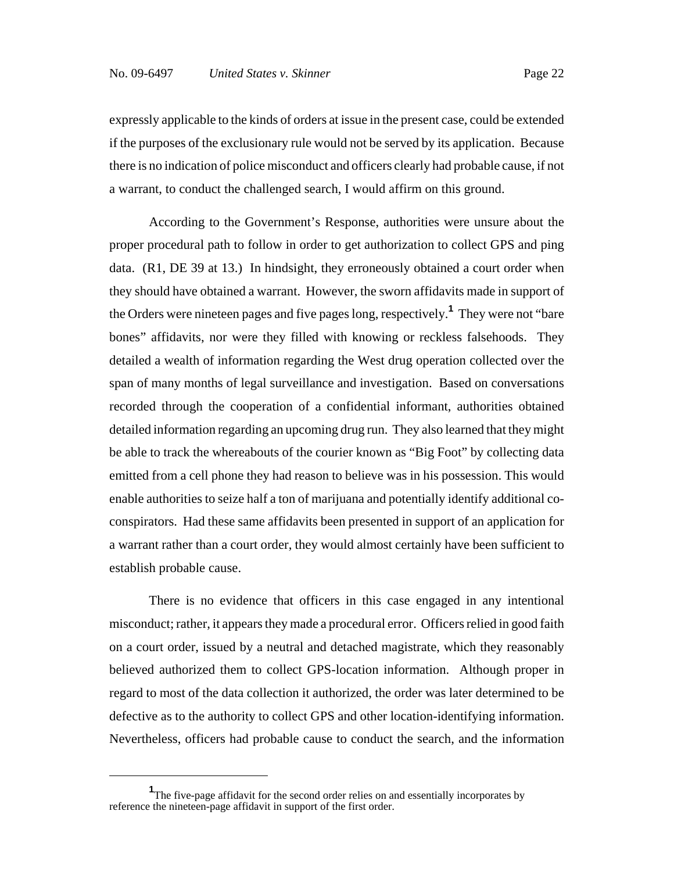expressly applicable to the kinds of orders at issue in the present case, could be extended if the purposes of the exclusionary rule would not be served by its application. Because there is no indication of police misconduct and officers clearly had probable cause, if not a warrant, to conduct the challenged search, I would affirm on this ground.

According to the Government's Response, authorities were unsure about the proper procedural path to follow in order to get authorization to collect GPS and ping data. (R1, DE 39 at 13.) In hindsight, they erroneously obtained a court order when they should have obtained a warrant. However, the sworn affidavits made in support of the Orders were nineteen pages and five pages long, respectively.**<sup>1</sup>** They were not "bare bones" affidavits, nor were they filled with knowing or reckless falsehoods. They detailed a wealth of information regarding the West drug operation collected over the span of many months of legal surveillance and investigation. Based on conversations recorded through the cooperation of a confidential informant, authorities obtained detailed information regarding an upcoming drug run. They also learned that they might be able to track the whereabouts of the courier known as "Big Foot" by collecting data emitted from a cell phone they had reason to believe was in his possession. This would enable authorities to seize half a ton of marijuana and potentially identify additional coconspirators. Had these same affidavits been presented in support of an application for a warrant rather than a court order, they would almost certainly have been sufficient to establish probable cause.

There is no evidence that officers in this case engaged in any intentional misconduct; rather, it appears they made a procedural error. Officers relied in good faith on a court order, issued by a neutral and detached magistrate, which they reasonably believed authorized them to collect GPS-location information. Although proper in regard to most of the data collection it authorized, the order was later determined to be defective as to the authority to collect GPS and other location-identifying information. Nevertheless, officers had probable cause to conduct the search, and the information

<sup>&</sup>lt;sup>1</sup>The five-page affidavit for the second order relies on and essentially incorporates by reference the nineteen-page affidavit in support of the first order.